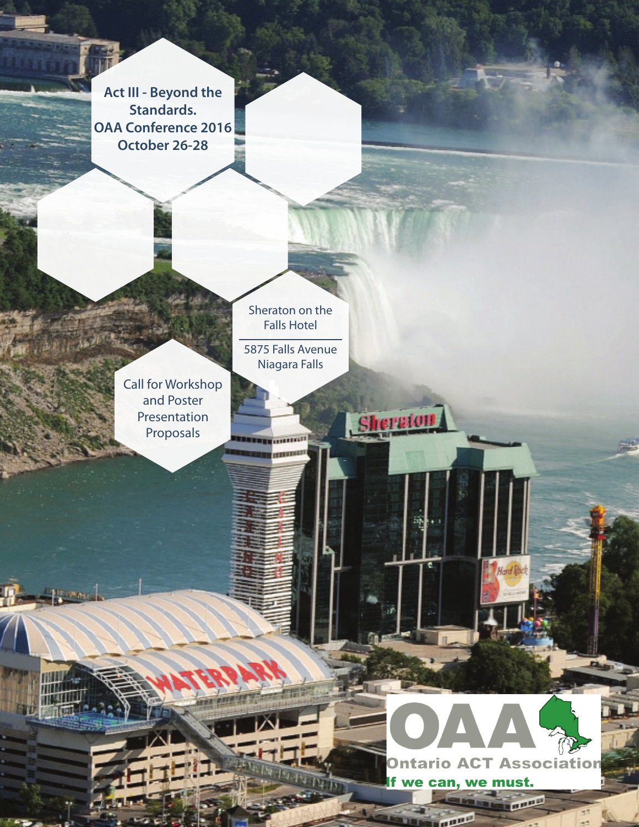**Act III - Beyond the Standards. OAA Conference 2016 October 26-28**

> Sheraton on the Falls Hotel

Call for Workshop and Poster Presentation Proposals

**Harmon** 

5875 Falls Avenue Niagara Falls

**BEREE** (INTIGAL **HEREFORE** 

**Sheraton** 



**CONGRA** 

land R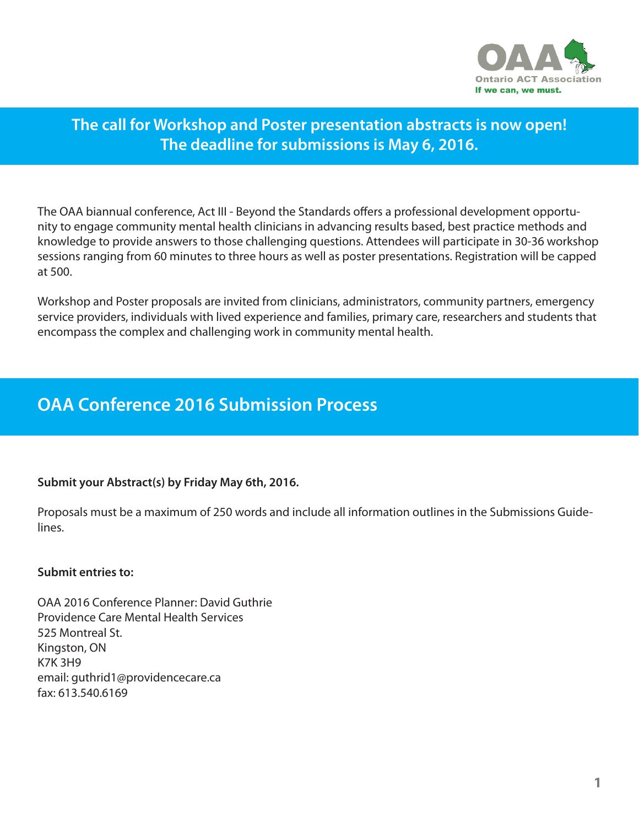

# **The call for Workshop and Poster presentation abstracts is now open! The deadline for submissions is May 6, 2016.**

The OAA biannual conference, Act III - Beyond the Standards offers a professional development opportunity to engage community mental health clinicians in advancing results based, best practice methods and knowledge to provide answers to those challenging questions. Attendees will participate in 30-36 workshop sessions ranging from 60 minutes to three hours as well as poster presentations. Registration will be capped at 500.

Workshop and Poster proposals are invited from clinicians, administrators, community partners, emergency service providers, individuals with lived experience and families, primary care, researchers and students that encompass the complex and challenging work in community mental health.

# **OAA Conference 2016 Submission Process**

## **Submit your Abstract(s) by Friday May 6th, 2016.**

Proposals must be a maximum of 250 words and include all information outlines in the Submissions Guidelines.

## **Submit entries to:**

OAA 2016 Conference Planner: David Guthrie Providence Care Mental Health Services 525 Montreal St. Kingston, ON K7K 3H9 email: guthrid1@providencecare.ca fax: 613.540.6169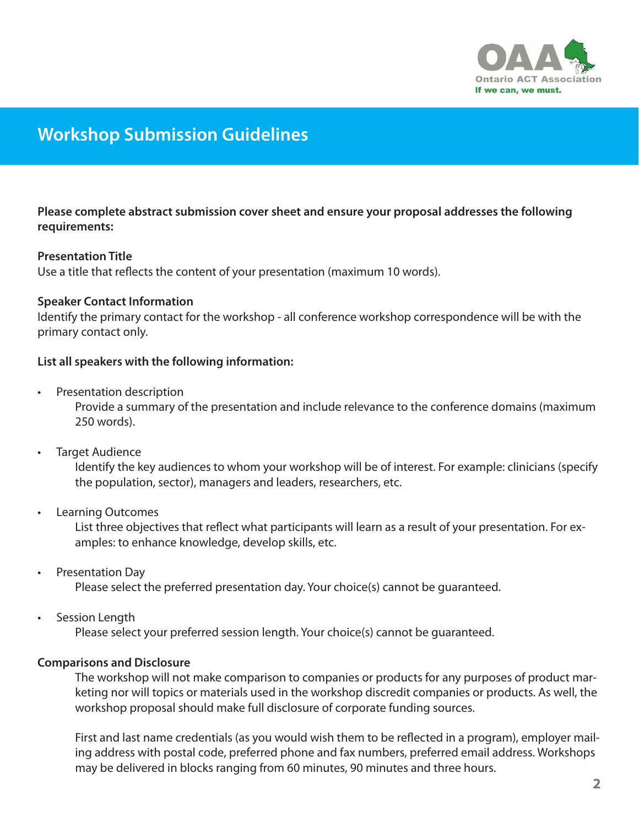

# **Workshop Submission Guidelines**

**Please complete abstract submission cover sheet and ensure your proposal addresses the following requirements:**

### **Presentation Title**

Use a title that reflects the content of your presentation (maximum 10 words).

### **Speaker Contact Information**

Identify the primary contact for the workshop - all conference workshop correspondence will be with the primary contact only.

### **List all speakers with the following information:**

• Presentation description

Provide a summary of the presentation and include relevance to the conference domains (maximum 250 words).

• Target Audience

Identify the key audiences to whom your workshop will be of interest. For example: clinicians (specify the population, sector), managers and leaders, researchers, etc.

• Learning Outcomes

List three objectives that reflect what participants will learn as a result of your presentation. For examples: to enhance knowledge, develop skills, etc.

• Presentation Day

Please select the preferred presentation day. Your choice(s) cannot be guaranteed.

• Session Length

Please select your preferred session length. Your choice(s) cannot be guaranteed.

#### **Comparisons and Disclosure**

The workshop will not make comparison to companies or products for any purposes of product marketing nor will topics or materials used in the workshop discredit companies or products. As well, the workshop proposal should make full disclosure of corporate funding sources.

First and last name credentials (as you would wish them to be reflected in a program), employer mailing address with postal code, preferred phone and fax numbers, preferred email address. Workshops may be delivered in blocks ranging from 60 minutes, 90 minutes and three hours.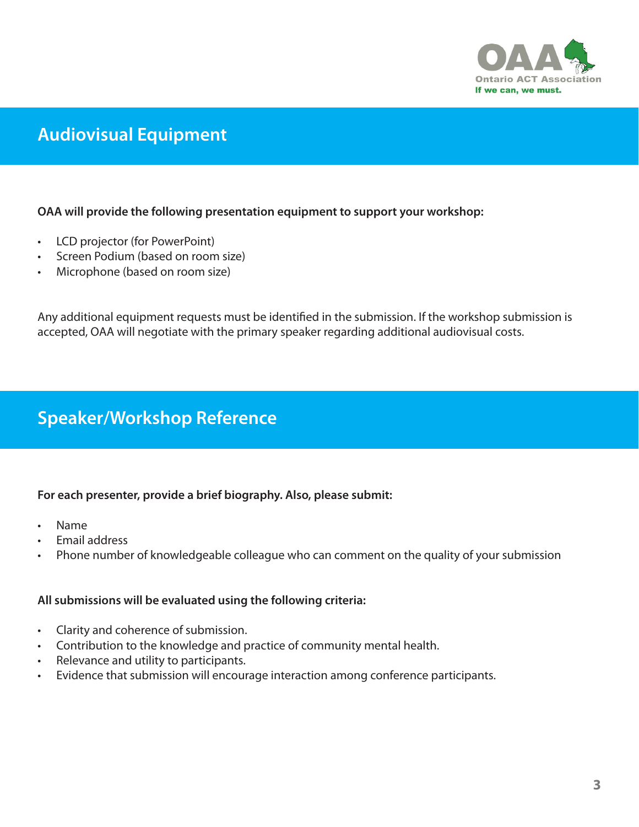

# **Audiovisual Equipment**

## **OAA will provide the following presentation equipment to support your workshop:**

- LCD projector (for PowerPoint)
- Screen Podium (based on room size)
- Microphone (based on room size)

Any additional equipment requests must be identified in the submission. If the workshop submission is accepted, OAA will negotiate with the primary speaker regarding additional audiovisual costs.

# **Speaker/Workshop Reference**

## **For each presenter, provide a brief biography. Also, please submit:**

- Name
- Email address
- Phone number of knowledgeable colleague who can comment on the quality of your submission

#### **All submissions will be evaluated using the following criteria:**

- Clarity and coherence of submission.
- Contribution to the knowledge and practice of community mental health.
- Relevance and utility to participants.
- Evidence that submission will encourage interaction among conference participants.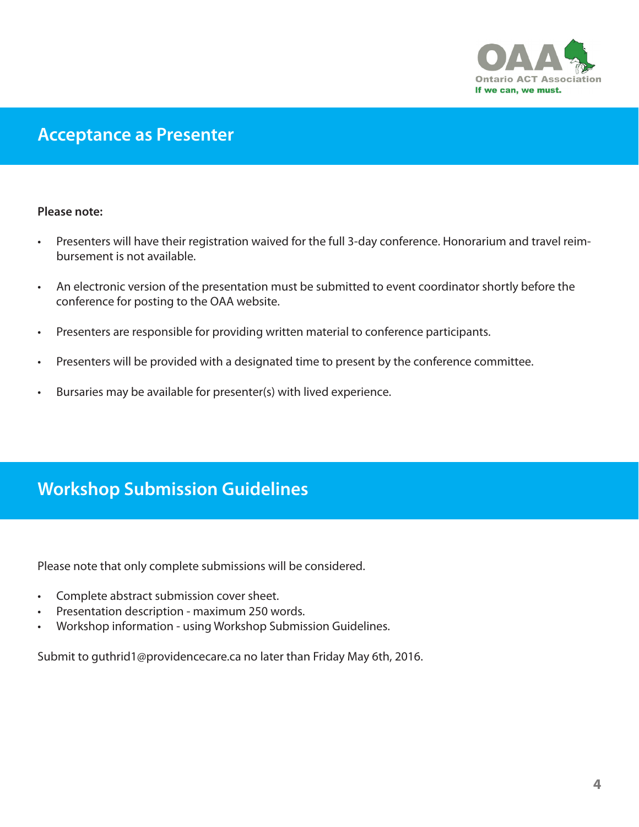

# **Acceptance as Presenter**

#### **Please note:**

- Presenters will have their registration waived for the full 3-day conference. Honorarium and travel reimbursement is not available.
- An electronic version of the presentation must be submitted to event coordinator shortly before the conference for posting to the OAA website.
- Presenters are responsible for providing written material to conference participants.
- Presenters will be provided with a designated time to present by the conference committee.
- Bursaries may be available for presenter(s) with lived experience.

# **Workshop Submission Guidelines**

Please note that only complete submissions will be considered.

- Complete abstract submission cover sheet.
- Presentation description maximum 250 words.
- Workshop information using Workshop Submission Guidelines.

Submit to guthrid1@providencecare.ca no later than Friday May 6th, 2016.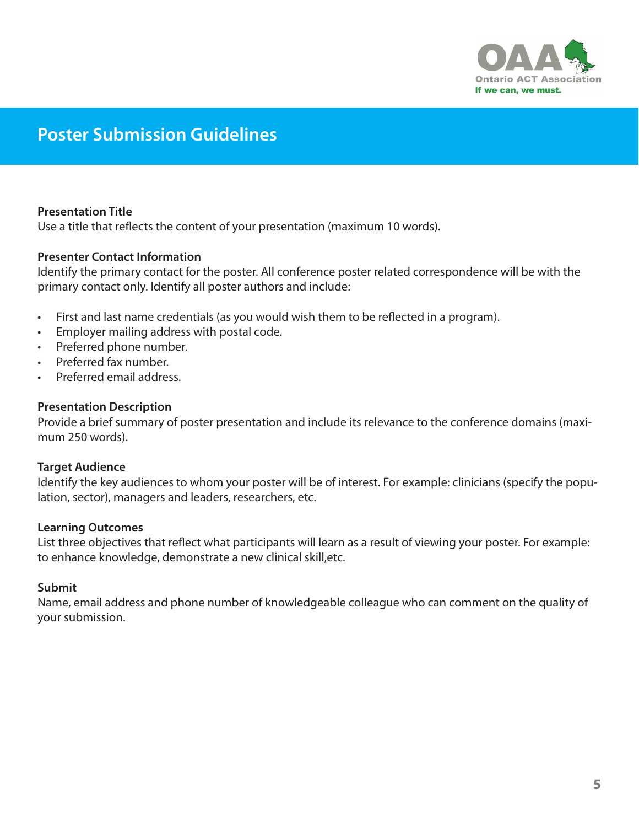

# **Poster Submission Guidelines**

## **Presentation Title**

Use a title that reflects the content of your presentation (maximum 10 words).

#### **Presenter Contact Information**

Identify the primary contact for the poster. All conference poster related correspondence will be with the primary contact only. Identify all poster authors and include:

- First and last name credentials (as you would wish them to be reflected in a program).
- Employer mailing address with postal code.
- Preferred phone number.
- Preferred fax number.
- Preferred email address.

#### **Presentation Description**

Provide a brief summary of poster presentation and include its relevance to the conference domains (maximum 250 words).

#### **Target Audience**

Identify the key audiences to whom your poster will be of interest. For example: clinicians (specify the population, sector), managers and leaders, researchers, etc.

#### **Learning Outcomes**

List three objectives that reflect what participants will learn as a result of viewing your poster. For example: to enhance knowledge, demonstrate a new clinical skill,etc.

#### **Submit**

Name, email address and phone number of knowledgeable colleague who can comment on the quality of your submission.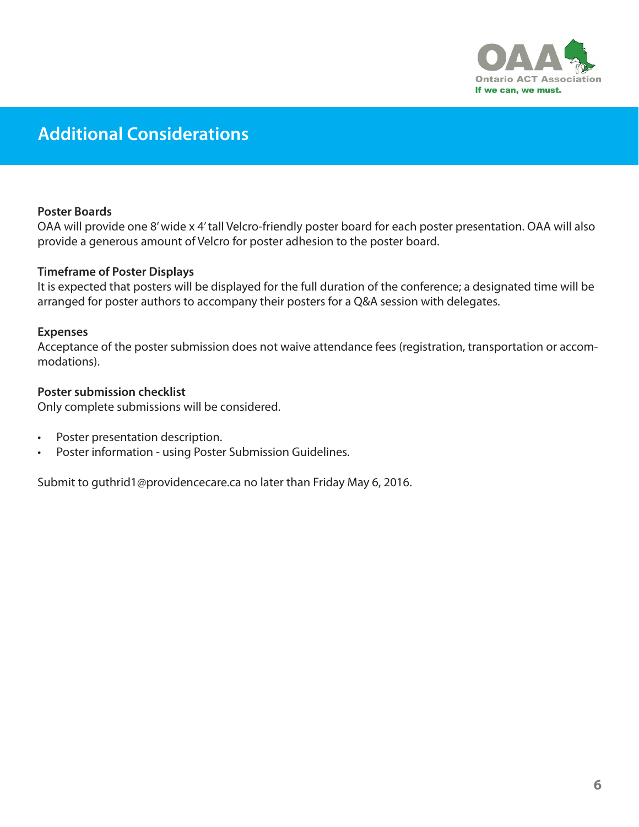

# **Additional Considerations**

### **Poster Boards**

OAA will provide one 8' wide x 4' tall Velcro-friendly poster board for each poster presentation. OAA will also provide a generous amount of Velcro for poster adhesion to the poster board.

### **Timeframe of Poster Displays**

It is expected that posters will be displayed for the full duration of the conference; a designated time will be arranged for poster authors to accompany their posters for a Q&A session with delegates.

#### **Expenses**

Acceptance of the poster submission does not waive attendance fees (registration, transportation or accommodations).

### **Poster submission checklist**

Only complete submissions will be considered.

- Poster presentation description.
- Poster information using Poster Submission Guidelines.

Submit to guthrid1@providencecare.ca no later than Friday May 6, 2016.